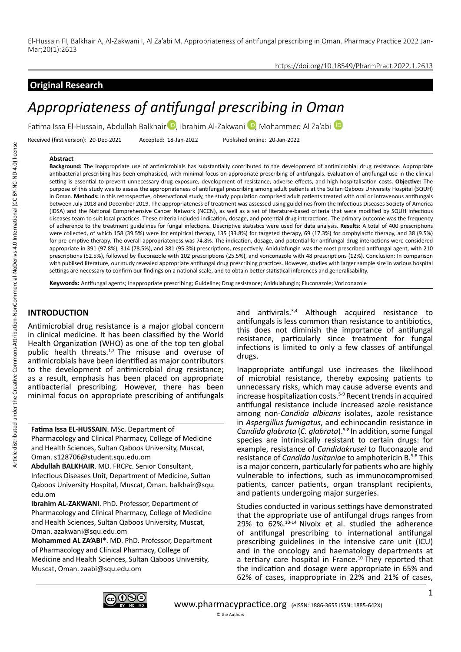## https://doi.org/10.18549/PharmPract.2022.1.2613

# **Original Research**

# *Appropriateness of antifungal prescribing in Oman*

Fatima Issa El-Hussain, Abdullah Balkhair D. Ibrahim Al-Zakwani D. Mohammed Al Za'abi D

Received (first version): 20-Dec-2021 Accepted: 18-Jan-2022 Published online: 20-Jan-2022

## **Abstract**

**Background:** The inappropriate use of antimicrobials has substantially contributed to the development of antimicrobial drug resistance. Appropriate antibacterial prescribing has been emphasised, with minimal focus on appropriate prescribing of antifungals. Evaluation of antifungal use in the clinical setting is essential to prevent unnecessary drug exposure, development of resistance, adverse effects, and high hospitalisation costs. **Objective:** The purpose of this study was to assess the appropriateness of antifungal prescribing among adult patients at the Sultan Qaboos University Hospital (SQUH) in Oman. **Methods:** In this retrospective, observational study, the study population comprised adult patients treated with oral or intravenous antifungals between July 2018 and December 2019. The appropriateness of treatment was assessed using guidelines from the Infectious Diseases Society of America (IDSA) and the National Comprehensive Cancer Network (NCCN), as well as a set of literature-based criteria that were modified by SQUH infectious diseases team to suit local practices. These criteria included indication, dosage, and potential drug interactions. The primary outcome was the frequency of adherence to the treatment guidelines for fungal infections. Descriptive statistics were used for data analysis. **Results:** A total of 400 prescriptions were collected, of which 158 (39.5%) were for empirical therapy, 135 (33.8%) for targeted therapy, 69 (17.3%) for prophylactic therapy, and 38 (9.5%) for pre-emptive therapy. The overall appropriateness was 74.8%. The indication, dosage, and potential for antifungal-drug interactions were considered appropriate in 391 (97.8%), 314 (78.5%), and 381 (95.3%) prescriptions, respectively. Anidulafungin was the most prescribed antifungal agent, with 210 prescriptions (52.5%), followed by fluconazole with 102 prescriptions (25.5%), and voriconazole with 48 prescriptions (12%). Conclusion: In comparison with publised literature, our study revealed appropriate antifungal drug prescribing practices. However, studies with larger sample size in various hospital settings are necessary to confirm our findings on a national scale, and to obtain better statistical inferences and generalisability.

**Keywords:** Antifungal agents; Inappropriate prescribing; Guideline; Drug resistance; Anidulafungin; Fluconazole; Voriconazole

# **INTRODUCTION**

Antimicrobial drug resistance is a major global concern in clinical medicine. It has been classified by the World Health Organization (WHO) as one of the top ten global public health threats.<sup>1,2</sup> The misuse and overuse of antimicrobials have been identified as major contributors to the development of antimicrobial drug resistance; as a result, emphasis has been placed on appropriate antibacterial prescribing. However, there has been minimal focus on appropriate prescribing of antifungals

**Fatima Issa EL-HUSSAIN**. MSc. Department of Pharmacology and Clinical Pharmacy, College of Medicine and Health Sciences, Sultan Qaboos University, Muscat, Oman. s128706@student.squ.edu.om

**Abdullah BALKHAIR**. MD. FRCPc. Senior Consultant, Infectious Diseases Unit, Department of Medicine, Sultan Qaboos University Hospital, Muscat, Oman. balkhair@squ. edu.om

**Ibrahim AL-ZAKWANI**. PhD. Professor, Department of Pharmacology and Clinical Pharmacy, College of Medicine and Health Sciences, Sultan Qaboos University, Muscat, Oman. azakwani@squ.edu.om

**Mohammed AL ZA'ABI\***. MD. PhD. Professor, Department of Pharmacology and Clinical Pharmacy, College of Medicine and Health Sciences, Sultan Qaboos University, Muscat, Oman. zaabi@squ.edu.om

and antivirals.3,4 Although acquired resistance to antifungals is less common than resistance to antibiotics, this does not diminish the importance of antifungal resistance, particularly since treatment for fungal infections is limited to only a few classes of antifungal drugs.

Inappropriate antifungal use increases the likelihood of microbial resistance, thereby exposing patients to unnecessary risks, which may cause adverse events and increase hospitalization costs.5-9 Recent trends in acquired antifungal resistance include increased azole resistance among non-*Candida albicans* isolates, azole resistance in *Aspergillus fumigatus*, and echinocandin resistance in *Candida glabrata* (*C. glabrata*).5-8 In addition, some fungal species are intrinsically resistant to certain drugs: for example, resistance of *Candidakrusei* to fluconazole and resistance of *Candida lusitaniae* to amphotericin B.5-8 This is a major concern, particularly for patients who are highly vulnerable to infections, such as immunocompromised patients, cancer patients, organ transplant recipients, and patients undergoing major surgeries.

Studies conducted in various settings have demonstrated that the appropriate use of antifungal drugs ranges from 29% to 62%.10-14 Nivoix et al. studied the adherence of antifungal prescribing to international antifungal prescribing guidelines in the intensive care unit (ICU) and in the oncology and haematology departments at a tertiary care hospital in France.10 They reported that the indication and dosage were appropriate in 65% and 62% of cases, inappropriate in 22% and 21% of cases,

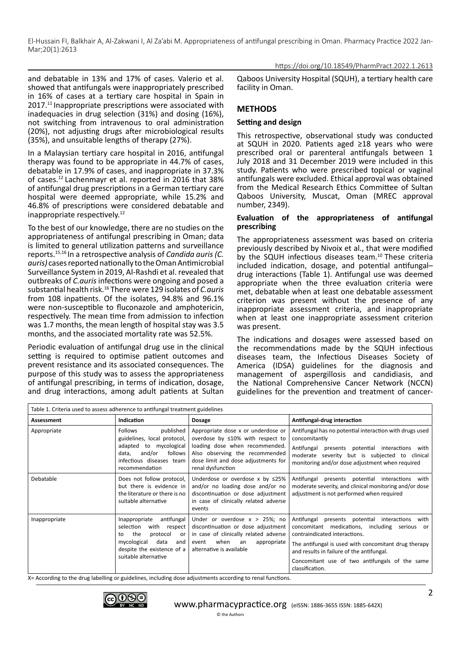#### https://doi.org/10.18549/PharmPract.2022.1.2613

and debatable in 13% and 17% of cases. Valerio et al. showed that antifungals were inappropriately prescribed in 16% of cases at a tertiary care hospital in Spain in 2017.<sup>11</sup> Inappropriate prescriptions were associated with inadequacies in drug selection (31%) and dosing (16%), not switching from intravenous to oral administration (20%), not adjusting drugs after microbiological results (35%), and unsuitable lengths of therapy (27%).

In a Malaysian tertiary care hospital in 2016, antifungal therapy was found to be appropriate in 44.7% of cases, debatable in 17.9% of cases, and inappropriate in 37.3% of cases.12 Lachenmayr et al. reported in 2016 that 38% of antifungal drug prescriptions in a German tertiary care hospital were deemed appropriate, while 15.2% and 46.8% of prescriptions were considered debatable and inappropriate respectively.<sup>12</sup>

To the best of our knowledge, there are no studies on the appropriateness of antifungal prescribing in Oman; data is limited to general utilization patterns and surveillance reports.15,16 In a retrospective analysis of *Candida auris (C. auris)* cases reported nationally to the Oman Antimicrobial Surveillance System in 2019, Al-Rashdi et al. revealed that outbreaks of *C.auris* infections were ongoing and posed a substantial health risk.16 There were 129 isolates of *C.auris* from 108 inpatients. Of the isolates, 94.8% and 96.1% were non-susceptible to fluconazole and amphotericin, respectively. The mean time from admission to infection was 1.7 months, the mean length of hospital stay was 3.5 months, and the associated mortality rate was 52.5%.

Periodic evaluation of antifungal drug use in the clinical setting is required to optimise patient outcomes and prevent resistance and its associated consequences. The purpose of this study was to assess the appropriateness of antifungal prescribing, in terms of indication, dosage, and drug interactions, among adult patients at Sultan

Qaboos University Hospital (SQUH), a tertiary health care facility in Oman.

# **METHODS**

## **Setting and design**

This retrospective, observational study was conducted at SQUH in 2020. Patients aged ≥18 years who were prescribed oral or parenteral antifungals between 1 July 2018 and 31 December 2019 were included in this study. Patients who were prescribed topical or vaginal antifungals were excluded. Ethical approval was obtained from the Medical Research Ethics Committee of Sultan Qaboos University, Muscat, Oman (MREC approval number, 2349).

## **Evaluation of the appropriateness of antifungal prescribing**

The appropriateness assessment was based on criteria previously described by Nivoix et al., that were modified by the SQUH infectious diseases team.<sup>10</sup> These criteria included indication, dosage, and potential antifungal– drug interactions (Table 1). Antifungal use was deemed appropriate when the three evaluation criteria were met, debatable when at least one debatable assessment criterion was present without the presence of any inappropriate assessment criteria, and inappropriate when at least one inappropriate assessment criterion was present.

The indications and dosages were assessed based on the recommendations made by the SQUH infectious diseases team, the Infectious Diseases Society of America (IDSA) guidelines for the diagnosis and management of aspergillosis and candidiasis, and the National Comprehensive Cancer Network (NCCN) guidelines for the prevention and treatment of cancer-

| Table 1. Criteria used to assess adherence to antifungal treatment guidelines |                                                                                                                                                                                    |                                                                                                                                                                                                               |                                                                                                                                                                                                                                                                                                                      |  |
|-------------------------------------------------------------------------------|------------------------------------------------------------------------------------------------------------------------------------------------------------------------------------|---------------------------------------------------------------------------------------------------------------------------------------------------------------------------------------------------------------|----------------------------------------------------------------------------------------------------------------------------------------------------------------------------------------------------------------------------------------------------------------------------------------------------------------------|--|
| <b>Assessment</b>                                                             | Indication                                                                                                                                                                         | <b>Dosage</b>                                                                                                                                                                                                 | Antifungal-drug interaction                                                                                                                                                                                                                                                                                          |  |
| Appropriate                                                                   | published<br><b>Follows</b><br>guidelines, local protocol,<br>adapted to mycological<br>and/or<br>follows<br>data,<br>infectious diseases team<br>recommendation                   | Appropriate dose x or underdose or<br>overdose by $\leq 10\%$ with respect to<br>loading dose when recommended.<br>Also observing the recommended<br>dose limit and dose adjustments for<br>renal dysfunction | Antifungal has no potential interaction with drugs used<br>concomitantly<br>Antifungal<br>presents potential interactions<br>with<br>moderate severity but is subjected to<br>clinical<br>monitoring and/or dose adjustment when required                                                                            |  |
| Debatable                                                                     | Does not follow protocol,<br>but there is evidence in<br>the literature or there is no<br>suitable alternative                                                                     | Underdose or overdose x by $\leq$ 25%<br>and/or no loading dose and/or no<br>discontinuation or dose adjustment<br>in case of clinically related adverse<br>events                                            | Antifungal<br>presents potential interactions<br>with<br>moderate severity, and clinical monitoring and/or dose<br>adjustment is not performed when required                                                                                                                                                         |  |
| Inappropriate                                                                 | antifungal<br>Inappropriate<br>selection<br>with<br>respect<br>the<br>protocol<br>or<br>to<br>mycological<br>data<br>and<br>despite the existence of a $ $<br>suitable alternative | Under or overdose $x > 25\%$ ; no<br>discontinuation or dose adjustment<br>in case of clinically related adverse<br>when<br>appropriate<br>event<br>an<br>alternative is available                            | Antifungal<br>presents potential interactions<br>with<br>concomitant medications, including serious<br>or<br>contraindicated interactions.<br>The antifungal is used with concomitant drug therapy<br>and results in failure of the antifungal.<br>Concomitant use of two antifungals of the same<br>classification. |  |

X= According to the drug labelling or guidelines, including dose adjustments according to renal functions.

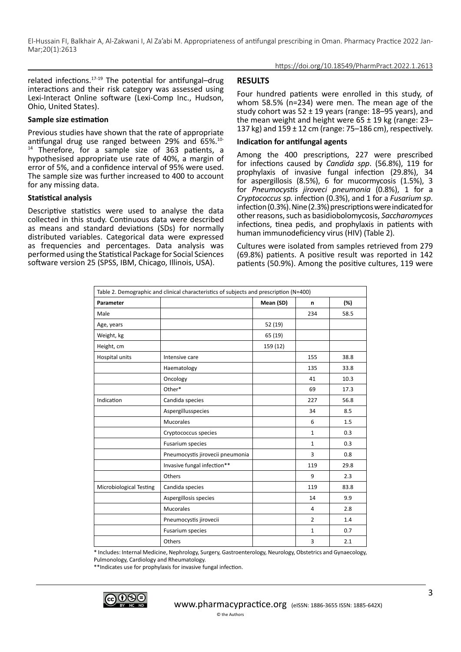#### https://doi.org/10.18549/PharmPract.2022.1.2613

related infections.17-19 The potential for antifungal–drug interactions and their risk category was assessed using Lexi-Interact Online software (Lexi‐Comp Inc., Hudson, Ohio, United States).

#### **Sample size estimation**

Previous studies have shown that the rate of appropriate antifungal drug use ranged between 29% and 65%.10- <sup>14</sup> Therefore, for a sample size of 363 patients, a hypothesised appropriate use rate of 40%, a margin of error of 5%, and a confidence interval of 95% were used. The sample size was further increased to 400 to account for any missing data.

#### **Statistical analysis**

Descriptive statistics were used to analyse the data collected in this study. Continuous data were described as means and standard deviations (SDs) for normally distributed variables. Categorical data were expressed as frequencies and percentages. Data analysis was performed using the Statistical Package for Social Sciences software version 25 (SPSS, IBM, Chicago, Illinois, USA).

## **RESULTS**

Four hundred patients were enrolled in this study, of whom 58.5% (n=234) were men. The mean age of the study cohort was 52 ± 19 years (range: 18–95 years), and the mean weight and height were  $65 \pm 19$  kg (range: 23– 137 kg) and  $159 \pm 12$  cm (range: 75–186 cm), respectively.

#### **Indication for antifungal agents**

Among the 400 prescriptions, 227 were prescribed for infections caused by *Candida spp*. (56.8%), 119 for prophylaxis of invasive fungal infection (29.8%), 34 for aspergillosis (8.5%), 6 for mucormycosis (1.5%), 3 for *Pneumocystis jiroveci pneumonia* (0.8%), 1 for a *Cryptococcus sp.* infection (0.3%), and 1 for a *Fusarium sp*. infection (0.3%). Nine (2.3%) prescriptions were indicated for other reasons, such as basidiobolomycosis, *Saccharomyces* infections, tinea pedis, and prophylaxis in patients with human immunodeficiency virus (HIV) (Table 2).

Cultures were isolated from samples retrieved from 279 (69.8%) patients. A positive result was reported in 142 patients (50.9%). Among the positive cultures, 119 were

| Table 2. Demographic and clinical characteristics of subjects and prescription (N=400) |                                  |           |                |      |
|----------------------------------------------------------------------------------------|----------------------------------|-----------|----------------|------|
| Parameter                                                                              |                                  | Mean (SD) | n              | (%)  |
| Male                                                                                   |                                  |           | 234            | 58.5 |
| Age, years                                                                             |                                  | 52 (19)   |                |      |
| Weight, kg                                                                             |                                  | 65 (19)   |                |      |
| Height, cm                                                                             |                                  | 159 (12)  |                |      |
| Hospital units                                                                         | Intensive care                   |           | 155            | 38.8 |
|                                                                                        | Haematology                      |           | 135            | 33.8 |
|                                                                                        | Oncology                         |           | 41             | 10.3 |
|                                                                                        | Other*                           |           | 69             | 17.3 |
| Indication                                                                             | Candida species                  |           | 227            | 56.8 |
|                                                                                        | Aspergillusspecies               |           | 34             | 8.5  |
|                                                                                        | <b>Mucorales</b>                 |           | 6              | 1.5  |
|                                                                                        | Cryptococcus species             |           | $\mathbf{1}$   | 0.3  |
|                                                                                        | <b>Fusarium species</b>          |           | $\mathbf{1}$   | 0.3  |
|                                                                                        | Pneumocystis jirovecii pneumonia |           | 3              | 0.8  |
|                                                                                        | Invasive fungal infection**      |           | 119            | 29.8 |
|                                                                                        | Others                           |           | 9              | 2.3  |
| Microbiological Testing                                                                | Candida species                  |           | 119            | 83.8 |
|                                                                                        | Aspergillosis species            |           | 14             | 9.9  |
|                                                                                        | <b>Mucorales</b>                 |           | 4              | 2.8  |
|                                                                                        | Pneumocystis jirovecii           |           | $\overline{2}$ | 1.4  |
|                                                                                        | Fusarium species                 |           | $\mathbf{1}$   | 0.7  |
|                                                                                        | Others                           |           | 3              | 2.1  |

\* Includes: Internal Medicine, Nephrology, Surgery, Gastroenterology, Neurology, Obstetrics and Gynaecology, Pulmonology, Cardiology and Rheumatology.

\*\*Indicates use for prophylaxis for invasive fungal infection.

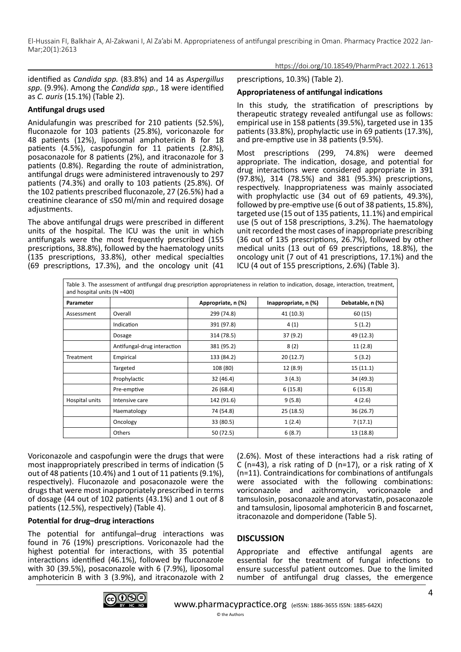https://doi.org/10.18549/PharmPract.2022.1.2613

identified as *Candida spp.* (83.8%) and 14 as *Aspergillus spp*. (9.9%). Among the *Candida spp.*, 18 were identified as *C. auris* (15.1%) (Table 2).

## **Antifungal drugs used**

Anidulafungin was prescribed for 210 patients (52.5%), fluconazole for 103 patients (25.8%), voriconazole for 48 patients (12%), liposomal amphotericin B for 18 patients (4.5%), caspofungin for 11 patients (2.8%), posaconazole for 8 patients (2%), and itraconazole for 3 patients (0.8%). Regarding the route of administration, antifungal drugs were administered intravenously to 297 patients (74.3%) and orally to 103 patients (25.8%). Of the 102 patients prescribed fluconazole, 27 (26.5%) had a creatinine clearance of ≤50 ml/min and required dosage adjustments.

The above antifungal drugs were prescribed in different units of the hospital. The ICU was the unit in which antifungals were the most frequently prescribed (155 prescriptions, 38.8%), followed by the haematology units (135 prescriptions, 33.8%), other medical specialties (69 prescriptions, 17.3%), and the oncology unit (41

#### prescriptions, 10.3%) (Table 2).

## **Appropriateness of antifungal indications**

In this study, the stratification of prescriptions by therapeutic strategy revealed antifungal use as follows: empirical use in 158 patients (39.5%), targeted use in 135 patients (33.8%), prophylactic use in 69 patients (17.3%), and pre-emptive use in 38 patients (9.5%).

Most prescriptions (299, 74.8%) were deemed appropriate. The indication, dosage, and potential for drug interactions were considered appropriate in 391 (97.8%), 314 (78.5%) and 381 (95.3%) prescriptions, respectively. Inappropriateness was mainly associated with prophylactic use (34 out of 69 patients, 49.3%), followed by pre-emptive use (6 out of 38 patients, 15.8%), targeted use (15 out of 135 patients, 11.1%) and empirical use (5 out of 158 prescriptions, 3.2%). The haematology unit recorded the most cases of inappropriate prescribing (36 out of 135 prescriptions, 26.7%), followed by other medical units (13 out of 69 prescriptions, 18.8%), the oncology unit (7 out of 41 prescriptions, 17.1%) and the ICU (4 out of 155 prescriptions, 2.6%) (Table 3).

| Table 3. The assessment of antifungal drug prescription appropriateness in relation to indication, dosage, interaction, treatment,<br>and hospital units ( $N = 400$ ) |                             |                    |                      |                  |
|------------------------------------------------------------------------------------------------------------------------------------------------------------------------|-----------------------------|--------------------|----------------------|------------------|
| Parameter                                                                                                                                                              |                             | Appropriate, n (%) | Inappropriate, n (%) | Debatable, n (%) |
| Assessment                                                                                                                                                             | Overall                     | 299 (74.8)         | 41 (10.3)            | 60 (15)          |
|                                                                                                                                                                        | Indication                  | 391 (97.8)         | 4(1)                 | 5(1.2)           |
|                                                                                                                                                                        | Dosage                      | 314 (78.5)         | 37(9.2)              | 49 (12.3)        |
|                                                                                                                                                                        | Antifungal-drug interaction | 381 (95.2)         | 8(2)                 | 11(2.8)          |
| Treatment                                                                                                                                                              | Empirical                   | 133 (84.2)         | 20(12.7)             | 5(3.2)           |
|                                                                                                                                                                        | Targeted                    | 108 (80)           | 12 (8.9)             | 15(11.1)         |
|                                                                                                                                                                        | Prophylactic                | 32 (46.4)          | 3(4.3)               | 34 (49.3)        |
|                                                                                                                                                                        | Pre-emptive                 | 26 (68.4)          | 6(15.8)              | 6(15.8)          |
| Hospital units                                                                                                                                                         | Intensive care              | 142 (91.6)         | 9(5.8)               | 4(2.6)           |
|                                                                                                                                                                        | Haematology                 | 74 (54.8)          | 25(18.5)             | 36 (26.7)        |
|                                                                                                                                                                        | Oncology                    | 33 (80.5)          | 1(2.4)               | 7(17.1)          |
|                                                                                                                                                                        | Others                      | 50 (72.5)          | 6(8.7)               | 13 (18.8)        |

Voriconazole and caspofungin were the drugs that were most inappropriately prescribed in terms of indication (5 out of 48 patients (10.4%) and 1 out of 11 patients (9.1%), respectively). Fluconazole and posaconazole were the drugs that were most inappropriately prescribed in terms of dosage (44 out of 102 patients (43.1%) and 1 out of 8 patients (12.5%), respectively) (Table 4).

## **Potential for drug–drug interactions**

The potential for antifungal–drug interactions was found in 76 (19%) prescriptions. Voriconazole had the highest potential for interactions, with 35 potential interactions identified (46.1%), followed by fluconazole with 30 (39.5%), posaconazole with 6 (7.9%), liposomal amphotericin B with 3 (3.9%), and itraconazole with 2

(2.6%). Most of these interactions had a risk rating of C (n=43), a risk rating of D (n=17), or a risk rating of X (n=11). Contraindications for combinations of antifungals were associated with the following combinations: voriconazole and azithromycin, voriconazole and tamsulosin, posaconazole and atorvastatin, posaconazole and tamsulosin, liposomal amphotericin B and foscarnet, itraconazole and domperidone (Table 5).

## **DISCUSSION**

Appropriate and effective antifungal agents are essential for the treatment of fungal infections to ensure successful patient outcomes. Due to the limited number of antifungal drug classes, the emergence

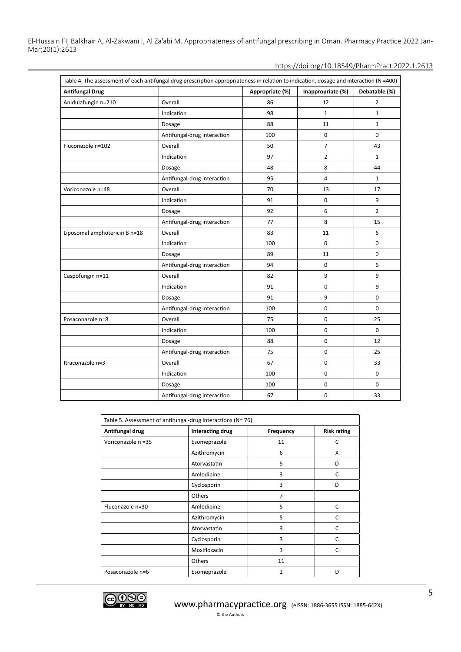| Table 4. The assessment of each antifungal drug prescription appropriateness in relation to indication, dosage and interaction (N =400) |                             |                 |                   |                |
|-----------------------------------------------------------------------------------------------------------------------------------------|-----------------------------|-----------------|-------------------|----------------|
| <b>Antifungal Drug</b>                                                                                                                  |                             | Appropriate (%) | Inappropriate (%) | Debatable (%)  |
| Anidulafungin n=210                                                                                                                     | Overall                     | 86              | 12                | $\overline{2}$ |
|                                                                                                                                         | Indication                  | 98              | $\mathbf{1}$      | $\mathbf{1}$   |
|                                                                                                                                         | Dosage                      | 88              | 11                | $\mathbf{1}$   |
|                                                                                                                                         | Antifungal-drug interaction | 100             | 0                 | $\mathbf 0$    |
| Fluconazole n=102                                                                                                                       | Overall                     | 50              | 7                 | 43             |
|                                                                                                                                         | Indication                  | 97              | $\overline{2}$    | $\mathbf{1}$   |
|                                                                                                                                         | Dosage                      | 48              | 8                 | 44             |
|                                                                                                                                         | Antifungal-drug interaction | 95              | 4                 | $\mathbf{1}$   |
| Voriconazole n=48                                                                                                                       | Overall                     | 70              | 13                | 17             |
|                                                                                                                                         | Indication                  | 91              | 0                 | 9              |
|                                                                                                                                         | Dosage                      | 92              | 6                 | $\overline{2}$ |
|                                                                                                                                         | Antifungal-drug interaction | 77              | 8                 | 15             |
| Liposomal amphotericin B n=18                                                                                                           | Overall                     | 83              | 11                | 6              |
|                                                                                                                                         | Indication                  | 100             | 0                 | 0              |
|                                                                                                                                         | Dosage                      | 89              | 11                | 0              |
|                                                                                                                                         | Antifungal-drug interaction | 94              | 0                 | 6              |
| Caspofungin n=11                                                                                                                        | Overall                     | 82              | 9                 | 9              |
|                                                                                                                                         | Indication                  | 91              | 0                 | 9              |
|                                                                                                                                         | Dosage                      | 91              | 9                 | 0              |
|                                                                                                                                         | Antifungal-drug interaction | 100             | 0                 | $\mathbf 0$    |
| Posaconazole n=8                                                                                                                        | Overall                     | 75              | 0                 | 25             |
|                                                                                                                                         | Indication                  | 100             | 0                 | $\mathbf 0$    |
|                                                                                                                                         | Dosage                      | 88              | 0                 | 12             |
|                                                                                                                                         | Antifungal-drug interaction | 75              | 0                 | 25             |
| Itraconazole n=3                                                                                                                        | Overall                     | 67              | 0                 | 33             |
|                                                                                                                                         | Indication                  | 100             | 0                 | $\mathbf 0$    |
|                                                                                                                                         | Dosage                      | 100             | 0                 | 0              |
|                                                                                                                                         | Antifungal-drug interaction | 67              | 0                 | 33             |

| Table 5. Assessment of antifungal-drug interactions (N= 76) |                  |                |                    |
|-------------------------------------------------------------|------------------|----------------|--------------------|
| Antifungal drug                                             | Interacting drug | Frequency      | <b>Risk rating</b> |
| Voriconazole n =35                                          | Esomeprazole     | 11             | C                  |
|                                                             | Azithromycin     | 6              | X                  |
|                                                             | Atorvastatin     | 5              | D                  |
|                                                             | Amlodipine       | 3              | C                  |
|                                                             | Cyclosporin      | 3              | D                  |
|                                                             | Others           | $\overline{7}$ |                    |
| Fluconazole n=30                                            | Amlodipine       | 5              | C                  |
|                                                             | Azithromycin     | 5              | C                  |
|                                                             | Atorvastatin     | 3              | C                  |
|                                                             | Cyclosporin      | 3              | C                  |
|                                                             | Moxifloxacin     | 3              | C                  |
|                                                             | Others           | 11             |                    |
| Posaconazole n=6                                            | Esomeprazole     | $\overline{2}$ | D                  |

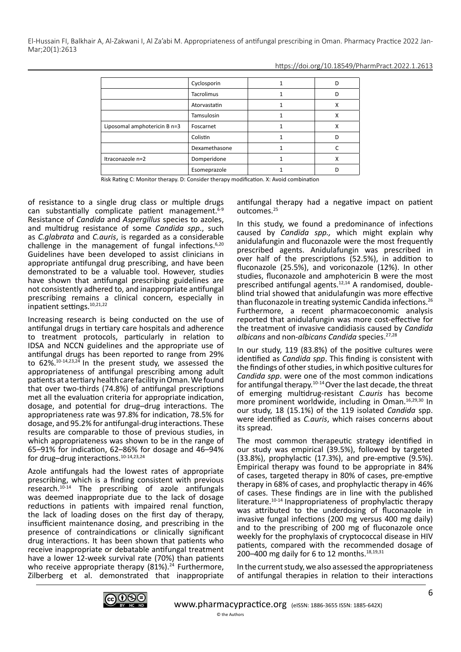|                              | Cyclosporin       | D |
|------------------------------|-------------------|---|
|                              | <b>Tacrolimus</b> | D |
|                              | Atorvastatin      | х |
|                              | Tamsulosin        | х |
| Liposomal amphotericin B n=3 | Foscarnet         | Χ |
|                              | Colistin          |   |
|                              | Dexamethasone     |   |
| Itraconazole n=2             | Domperidone       | х |
|                              | Esomeprazole      |   |

Risk Rating C: Monitor therapy. D: Consider therapy modification. X: Avoid combination

of resistance to a single drug class or multiple drugs can substantially complicate patient management.6-9 Resistance of *Candida* and *Aspergillus* species to azoles, and multidrug resistance of some *Candida spp*., such as *C.glabrata* and *C.auris*, is regarded as a considerable challenge in the management of fungal infections.<sup>6,20</sup> Guidelines have been developed to assist clinicians in appropriate antifungal drug prescribing, and have been demonstrated to be a valuable tool. However, studies have shown that antifungal prescribing guidelines are not consistently adhered to, and inappropriate antifungal prescribing remains a clinical concern, especially in inpatient settings.10,21,22

Increasing research is being conducted on the use of antifungal drugs in tertiary care hospitals and adherence to treatment protocols, particularly in relation to IDSA and NCCN guidelines and the appropriate use of antifungal drugs has been reported to range from 29% to  $62\%$ <sup>10-14,23,24</sup> In the present study, we assessed the appropriateness of antifungal prescribing among adult patients at a tertiary health care facility in Oman. We found that over two-thirds (74.8%) of antifungal prescriptions met all the evaluation criteria for appropriate indication, dosage, and potential for drug–drug interactions. The appropriateness rate was 97.8% for indication, 78.5% for dosage, and 95.2% for antifungal-drug interactions. These results are comparable to those of previous studies, in which appropriateness was shown to be in the range of 65–91% for indication, 62–86% for dosage and 46–94% for drug–drug interactions.10-14,23,24

Azole antifungals had the lowest rates of appropriate prescribing, which is a finding consistent with previous research.10-14 The prescribing of azole antifungals was deemed inappropriate due to the lack of dosage reductions in patients with impaired renal function, the lack of loading doses on the first day of therapy, insufficient maintenance dosing, and prescribing in the presence of contraindications or clinically significant drug interactions. It has been shown that patients who receive inappropriate or debatable antifungal treatment have a lower 12-week survival rate (70%) than patients who receive appropriate therapy  $(81\%)$ .<sup>24</sup> Furthermore, Zilberberg et al. demonstrated that inappropriate antifungal therapy had a negative impact on patient outcomes.25

In this study, we found a predominance of infections caused by *Candida spp.,* which might explain why anidulafungin and fluconazole were the most frequently prescribed agents. Anidulafungin was prescribed in over half of the prescriptions (52.5%), in addition to fluconazole (25.5%), and voriconazole (12%). In other studies, fluconazole and amphotericin B were the most prescribed antifungal agents.12,14 A randomised, doubleblind trial showed that anidulafungin was more effective than fluconazole in treating systemic Candida infections.<sup>26</sup> Furthermore, a recent pharmacoeconomic analysis reported that anidulafungin was more cost-effective for the treatment of invasive candidiasis caused by *Candida albicans* and non-*albicans Candida* species.27,28

In our study, 119 (83.8%) of the positive cultures were identified as *Candida spp*. This finding is consistent with the findings of other studies, in which positive cultures for *Candida spp*. were one of the most common indications for antifungal therapy.10-14 Over the last decade, the threat of emerging multidrug-resistant *C.auris* has become more prominent worldwide, including in Oman.16,29,30 In our study, 18 (15.1%) of the 119 isolated *Candida* spp. were identified as *C.auris*, which raises concerns about its spread.

The most common therapeutic strategy identified in our study was empirical (39.5%), followed by targeted (33.8%), prophylactic (17.3%), and pre-emptive (9.5%). Empirical therapy was found to be appropriate in 84% of cases, targeted therapy in 80% of cases, pre-emptive therapy in 68% of cases, and prophylactic therapy in 46% of cases. These findings are in line with the published literature.10-14 Inappropriateness of prophylactic therapy was attributed to the underdosing of fluconazole in invasive fungal infections (200 mg versus 400 mg daily) and to the prescribing of 200 mg of fluconazole once weekly for the prophylaxis of cryptococcal disease in HIV patients, compared with the recommended dosage of 200–400 mg daily for 6 to 12 months.<sup>18,19,31</sup>

In the current study, we also assessed the appropriateness of antifungal therapies in relation to their interactions

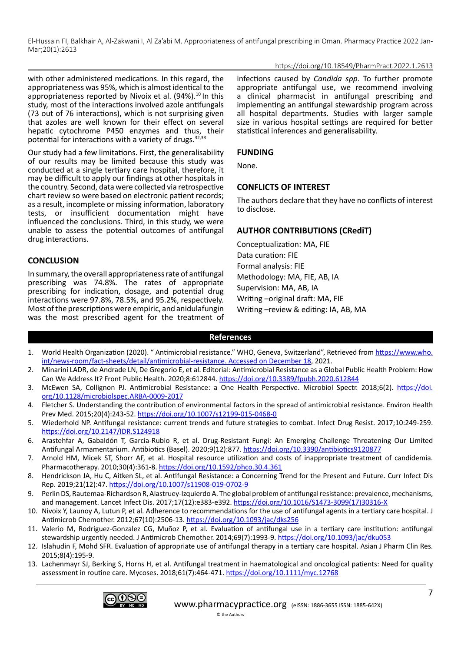## https://doi.org/10.18549/PharmPract.2022.1.2613

with other administered medications. In this regard, the appropriateness was 95%, which is almost identical to the appropriateness reported by Nivoix et al. (94%).<sup>10</sup> In this study, most of the interactions involved azole antifungals (73 out of 76 interactions), which is not surprising given that azoles are well known for their effect on several hepatic cytochrome P450 enzymes and thus, their potential for interactions with a variety of drugs. $32,33$ 

Our study had a few limitations. First, the generalisability of our results may be limited because this study was conducted at a single tertiary care hospital, therefore, it may be difficult to apply our findings at other hospitals in the country. Second, data were collected via retrospective chart review so were based on electronic patient records; as a result, incomplete or missing information, laboratory tests, or insufficient documentation might have influenced the conclusions. Third, in this study, we were unable to assess the potential outcomes of antifungal drug interactions.

**CONCLUSION**

In summary, the overall appropriateness rate of antifungal prescribing was 74.8%. The rates of appropriate prescribing for indication, dosage, and potential drug interactions were 97.8%, 78.5%, and 95.2%, respectively. Most of the prescriptions were empiric, and anidulafungin was the most prescribed agent for the treatment of infections caused by *Candida spp*. To further promote appropriate antifungal use, we recommend involving a clinical pharmacist in antifungal prescribing and implementing an antifungal stewardship program across all hospital departments. Studies with larger sample size in various hospital settings are required for better statistical inferences and generalisability.

## **FUNDING**

None.

## **CONFLICTS OF INTEREST**

The authors declare that they have no conflicts of interest to disclose.

# **AUTHOR CONTRIBUTIONS (CRediT)**

Conceptualization: MA, FIE Data curation: FIE Formal analysis: FIE Methodology: MA, FIE, AB, IA Supervision: MA, AB, IA Writing –original draft: MA, FIE Writing –review & editing: IA, AB, MA

# **References**

- 1. World Health Organization (2020). " Antimicrobial resistance." WHO, Geneva, Switzerland", Retrieved from [https://www.who.](https://www.who.int/news-room/fact-sheets/detail/antimicrobial-resistance.%20Accessed%20on%20December%2018) [int/news-room/fact-sheets/detail/antimicrobial-resistance. Accessed on December 18,](https://www.who.int/news-room/fact-sheets/detail/antimicrobial-resistance.%20Accessed%20on%20December%2018) 2021.
- 2. Minarini LADR, de Andrade LN, De Gregorio E, et al. Editorial: Antimicrobial Resistance as a Global Public Health Problem: How Can We Address It? Front Public Health. 2020;8:612844.<https://doi.org/10.3389/fpubh.2020.612844>
- 3. McEwen SA, Collignon PJ. Antimicrobial Resistance: a One Health Perspective. Microbiol Spectr. 2018;6(2). [https://doi.](https://doi.org/10.1128/microbiolspec.ARBA-0009-2017) [org/10.1128/microbiolspec.ARBA-0009-2017](https://doi.org/10.1128/microbiolspec.ARBA-0009-2017)
- 4. Fletcher S. Understanding the contribution of environmental factors in the spread of antimicrobial resistance. Environ Health Prev Med. 2015;20(4):243-52. <https://doi.org/10.1007/s12199-015-0468-0>
- 5. Wiederhold NP. Antifungal resistance: current trends and future strategies to combat. Infect Drug Resist. 2017;10:249-259. <https://doi.org/10.2147/IDR.S124918>
- 6. Arastehfar A, Gabaldón T, Garcia-Rubio R, et al. Drug-Resistant Fungi: An Emerging Challenge Threatening Our Limited Antifungal Armamentarium. Antibiotics (Basel). 2020;9(12):877.<https://doi.org/10.3390/antibiotics9120877>
- 7. Arnold HM, Micek ST, Shorr AF, et al. Hospital resource utilization and costs of inappropriate treatment of candidemia. Pharmacotherapy. 2010;30(4):361-8.<https://doi.org/10.1592/phco.30.4.361>
- 8. Hendrickson JA, Hu C, Aitken SL, et al. Antifungal Resistance: a Concerning Trend for the Present and Future. Curr Infect Dis Rep. 2019;21(12):47.<https://doi.org/10.1007/s11908-019-0702-9>
- 9. Perlin DS, Rautemaa-Richardson R, Alastruey-Izquierdo A. The global problem of antifungal resistance: prevalence, mechanisms, and management. Lancet Infect Dis. 2017;17(12):e383-e392. [https://doi.org/10.1016/S1473-3099\(17\)30316-X](https://doi.org/10.1016/S1473-3099(17)30316-X)
- 10. Nivoix Y, Launoy A, Lutun P, et al. Adherence to recommendations for the use of antifungal agents in a tertiary care hospital. J Antimicrob Chemother. 2012;67(10):2506-13.<https://doi.org/10.1093/jac/dks256>
- 11. Valerio M, Rodriguez-Gonzalez CG, Muñoz P, et al. Evaluation of antifungal use in a tertiary care institution: antifungal stewardship urgently needed. J Antimicrob Chemother. 2014;69(7):1993-9. <https://doi.org/10.1093/jac/dku053>
- 12. Islahudin F, Mohd SFR. Evaluation of appropriate use of antifungal therapy in a tertiary care hospital. Asian J Pharm Clin Res. 2015;8(4):195-9.
- 13. Lachenmayr SJ, Berking S, Horns H, et al. Antifungal treatment in haematological and oncological patients: Need for quality assessment in routine care. Mycoses. 2018;61(7):464-471.<https://doi.org/10.1111/myc.12768>